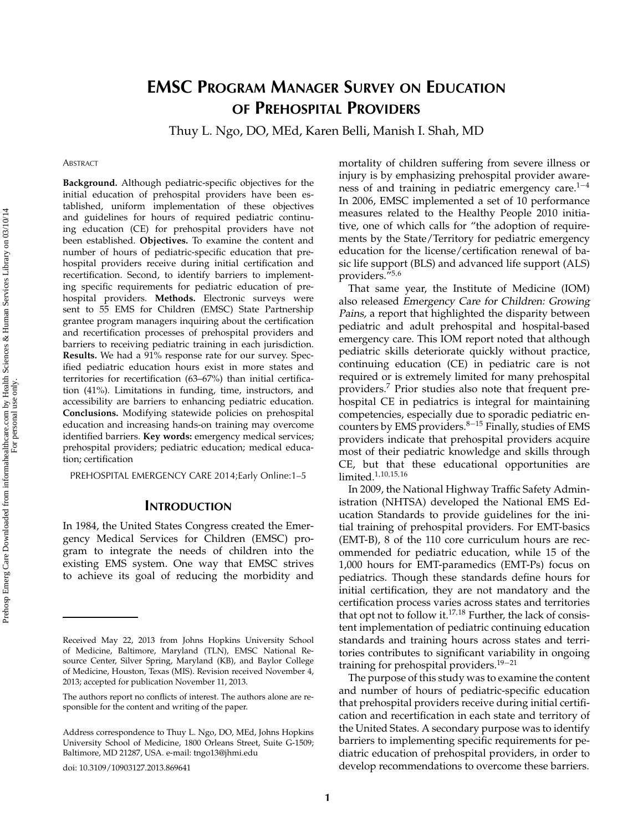# **EMSC PROGRAM MANAGER SURVEY ON EDUCATION OF PREHOSPITAL PROVIDERS**

Thuy L. Ngo, DO, MEd, Karen Belli, Manish I. Shah, MD

#### **ABSTRACT**

**Background.** Although pediatric-specific objectives for the initial education of prehospital providers have been established, uniform implementation of these objectives and guidelines for hours of required pediatric continuing education (CE) for prehospital providers have not been established. **Objectives.** To examine the content and number of hours of pediatric-specific education that prehospital providers receive during initial certification and recertification. Second, to identify barriers to implementing specific requirements for pediatric education of prehospital providers. **Methods.** Electronic surveys were sent to 55 EMS for Children (EMSC) State Partnership grantee program managers inquiring about the certification and recertification processes of prehospital providers and barriers to receiving pediatric training in each jurisdiction. **Results.** We had a 91% response rate for our survey. Specified pediatric education hours exist in more states and territories for recertification (63–67%) than initial certification (41%). Limitations in funding, time, instructors, and accessibility are barriers to enhancing pediatric education. **Conclusions.** Modifying statewide policies on prehospital education and increasing hands-on training may overcome identified barriers. **Key words:** emergency medical services; prehospital providers; pediatric education; medical education; certification

PREHOSPITAL EMERGENCY CARE 2014;Early Online:1–5

#### **INTRODUCTION**

In 1984, the United States Congress created the Emergency Medical Services for Children (EMSC) program to integrate the needs of children into the existing EMS system. One way that EMSC strives to achieve its goal of reducing the morbidity and

doi: 10.3109/10903127.2013.869641

mortality of children suffering from severe illness or injury is by emphasizing prehospital provider awareness of and training in pediatric emergency care.<sup>1−4</sup> In 2006, EMSC implemented a set of 10 performance measures related to the Healthy People 2010 initiative, one of which calls for "the adoption of requirements by the State/Territory for pediatric emergency education for the license/certification renewal of basic life support (BLS) and advanced life support (ALS) providers."5*,*<sup>6</sup>

That same year, the Institute of Medicine (IOM) also released Emergency Care for Children: Growing Pains, a report that highlighted the disparity between pediatric and adult prehospital and hospital-based emergency care. This IOM report noted that although pediatric skills deteriorate quickly without practice, continuing education (CE) in pediatric care is not required or is extremely limited for many prehospital providers.<sup>7</sup> Prior studies also note that frequent prehospital CE in pediatrics is integral for maintaining competencies, especially due to sporadic pediatric encounters by EMS providers.<sup>8-15</sup> Finally, studies of EMS providers indicate that prehospital providers acquire most of their pediatric knowledge and skills through CE, but that these educational opportunities are limited.1*,*10*,*15*,*<sup>16</sup>

In 2009, the National Highway Traffic Safety Administration (NHTSA) developed the National EMS Education Standards to provide guidelines for the initial training of prehospital providers. For EMT-basics (EMT-B), 8 of the 110 core curriculum hours are recommended for pediatric education, while 15 of the 1,000 hours for EMT-paramedics (EMT-Ps) focus on pediatrics. Though these standards define hours for initial certification, they are not mandatory and the certification process varies across states and territories that opt not to follow it.<sup>17</sup>*,*<sup>18</sup> Further, the lack of consistent implementation of pediatric continuing education standards and training hours across states and territories contributes to significant variability in ongoing training for prehospital providers.<sup>19</sup>−<sup>21</sup>

The purpose of this study was to examine the content and number of hours of pediatric-specific education that prehospital providers receive during initial certification and recertification in each state and territory of the United States. A secondary purpose was to identify barriers to implementing specific requirements for pediatric education of prehospital providers, in order to develop recommendations to overcome these barriers.

Received May 22, 2013 from Johns Hopkins University School of Medicine, Baltimore, Maryland (TLN), EMSC National Resource Center, Silver Spring, Maryland (KB), and Baylor College of Medicine, Houston, Texas (MIS). Revision received November 4, 2013; accepted for publication November 11, 2013.

The authors report no conflicts of interest. The authors alone are responsible for the content and writing of the paper.

Address correspondence to Thuy L. Ngo, DO, MEd, Johns Hopkins University School of Medicine, 1800 Orleans Street, Suite G-1509; Baltimore, MD 21287, USA. e-mail: tngo13@jhmi.edu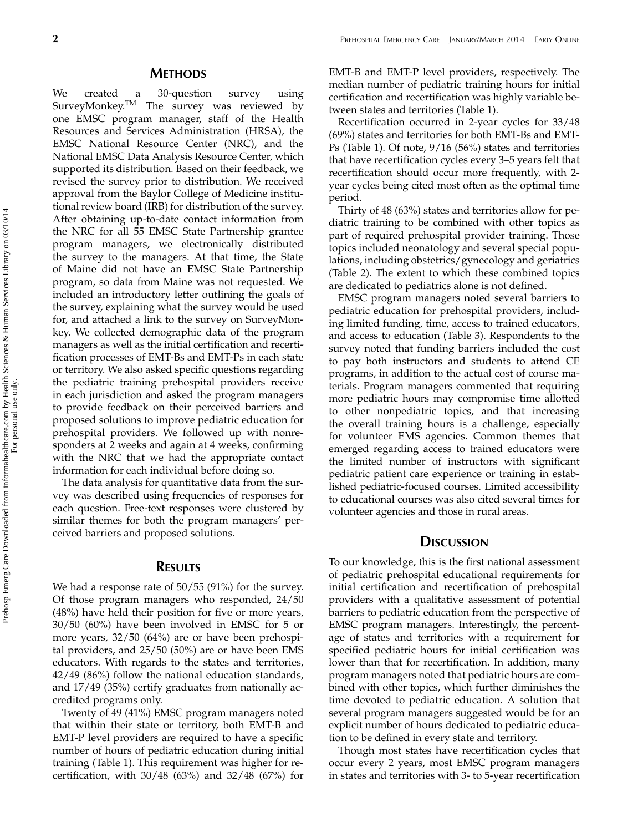### **METHODS**

We created a 30-question survey using SurveyMonkey.<sup>TM</sup> The survey was reviewed by one EMSC program manager, staff of the Health Resources and Services Administration (HRSA), the EMSC National Resource Center (NRC), and the National EMSC Data Analysis Resource Center, which supported its distribution. Based on their feedback, we revised the survey prior to distribution. We received approval from the Baylor College of Medicine institutional review board (IRB) for distribution of the survey. After obtaining up-to-date contact information from the NRC for all 55 EMSC State Partnership grantee program managers, we electronically distributed the survey to the managers. At that time, the State of Maine did not have an EMSC State Partnership program, so data from Maine was not requested. We included an introductory letter outlining the goals of the survey, explaining what the survey would be used for, and attached a link to the survey on SurveyMonkey. We collected demographic data of the program managers as well as the initial certification and recertification processes of EMT-Bs and EMT-Ps in each state or territory. We also asked specific questions regarding the pediatric training prehospital providers receive in each jurisdiction and asked the program managers to provide feedback on their perceived barriers and proposed solutions to improve pediatric education for prehospital providers. We followed up with nonresponders at 2 weeks and again at 4 weeks, confirming with the NRC that we had the appropriate contact information for each individual before doing so.

The data analysis for quantitative data from the survey was described using frequencies of responses for each question. Free-text responses were clustered by similar themes for both the program managers' perceived barriers and proposed solutions.

#### **RESULTS**

We had a response rate of 50/55 (91%) for the survey. Of those program managers who responded, 24/50 (48%) have held their position for five or more years, 30/50 (60%) have been involved in EMSC for 5 or more years, 32/50 (64%) are or have been prehospital providers, and 25/50 (50%) are or have been EMS educators. With regards to the states and territories, 42/49 (86%) follow the national education standards, and 17/49 (35%) certify graduates from nationally accredited programs only.

Twenty of 49 (41%) EMSC program managers noted that within their state or territory, both EMT-B and EMT-P level providers are required to have a specific number of hours of pediatric education during initial training (Table 1). This requirement was higher for recertification, with  $30/48$  (63%) and  $32/48$  (67%) for EMT-B and EMT-P level providers, respectively. The median number of pediatric training hours for initial certification and recertification was highly variable between states and territories (Table 1).

Recertification occurred in 2-year cycles for 33/48 (69%) states and territories for both EMT-Bs and EMT-Ps (Table 1). Of note, 9/16 (56%) states and territories that have recertification cycles every 3–5 years felt that recertification should occur more frequently, with 2 year cycles being cited most often as the optimal time period.

Thirty of 48 (63%) states and territories allow for pediatric training to be combined with other topics as part of required prehospital provider training. Those topics included neonatology and several special populations, including obstetrics/gynecology and geriatrics (Table 2). The extent to which these combined topics are dedicated to pediatrics alone is not defined.

EMSC program managers noted several barriers to pediatric education for prehospital providers, including limited funding, time, access to trained educators, and access to education (Table 3). Respondents to the survey noted that funding barriers included the cost to pay both instructors and students to attend CE programs, in addition to the actual cost of course materials. Program managers commented that requiring more pediatric hours may compromise time allotted to other nonpediatric topics, and that increasing the overall training hours is a challenge, especially for volunteer EMS agencies. Common themes that emerged regarding access to trained educators were the limited number of instructors with significant pediatric patient care experience or training in established pediatric-focused courses. Limited accessibility to educational courses was also cited several times for volunteer agencies and those in rural areas.

# **DISCUSSION**

To our knowledge, this is the first national assessment of pediatric prehospital educational requirements for initial certification and recertification of prehospital providers with a qualitative assessment of potential barriers to pediatric education from the perspective of EMSC program managers. Interestingly, the percentage of states and territories with a requirement for specified pediatric hours for initial certification was lower than that for recertification. In addition, many program managers noted that pediatric hours are combined with other topics, which further diminishes the time devoted to pediatric education. A solution that several program managers suggested would be for an explicit number of hours dedicated to pediatric education to be defined in every state and territory.

Though most states have recertification cycles that occur every 2 years, most EMSC program managers in states and territories with 3- to 5-year recertification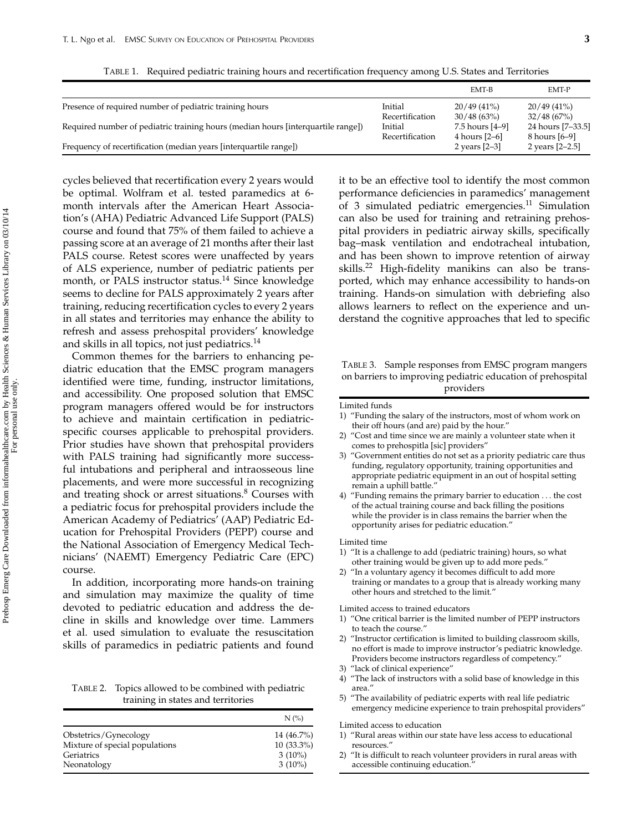|                                                                                  |                 | EMT-B           | EMT-P             |
|----------------------------------------------------------------------------------|-----------------|-----------------|-------------------|
| Presence of required number of pediatric training hours                          | Initial         | $20/49(41\%)$   | $20/49(41\%)$     |
|                                                                                  | Recertification | 30/48(63%)      | 32/48(67%)        |
| Required number of pediatric training hours (median hours [interquartile range]) | Initial         | 7.5 hours [4–9] | 24 hours [7-33.5] |
|                                                                                  | Recertification | 4 hours [2–6]   | 8 hours [6–9]     |
| Frequency of recertification (median years [interquartile range])                |                 | 2 years $[2-3]$ | 2 years [2-2.5]   |

cycles believed that recertification every 2 years would be optimal. Wolfram et al. tested paramedics at 6 month intervals after the American Heart Association's (AHA) Pediatric Advanced Life Support (PALS) course and found that 75% of them failed to achieve a passing score at an average of 21 months after their last PALS course. Retest scores were unaffected by years of ALS experience, number of pediatric patients per month, or PALS instructor status.<sup>14</sup> Since knowledge seems to decline for PALS approximately 2 years after training, reducing recertification cycles to every 2 years in all states and territories may enhance the ability to refresh and assess prehospital providers' knowledge and skills in all topics, not just pediatrics.<sup>14</sup>

Common themes for the barriers to enhancing pediatric education that the EMSC program managers identified were time, funding, instructor limitations, and accessibility. One proposed solution that EMSC program managers offered would be for instructors to achieve and maintain certification in pediatricspecific courses applicable to prehospital providers. Prior studies have shown that prehospital providers with PALS training had significantly more successful intubations and peripheral and intraosseous line placements, and were more successful in recognizing and treating shock or arrest situations.<sup>8</sup> Courses with a pediatric focus for prehospital providers include the American Academy of Pediatrics' (AAP) Pediatric Education for Prehospital Providers (PEPP) course and the National Association of Emergency Medical Technicians' (NAEMT) Emergency Pediatric Care (EPC) course.

In addition, incorporating more hands-on training and simulation may maximize the quality of time devoted to pediatric education and address the decline in skills and knowledge over time. Lammers et al. used simulation to evaluate the resuscitation skills of paramedics in pediatric patients and found

TABLE 2. Topics allowed to be combined with pediatric training in states and territories

|                                | $N$ $\left(\frac{\%}{\%}\right)$ |
|--------------------------------|----------------------------------|
| Obstetrics/Gynecology          | 14 (46.7%)                       |
| Mixture of special populations | $10(33.3\%)$                     |
| Geriatrics                     | $3(10\%)$                        |
| Neonatology                    | $3(10\%)$                        |

it to be an effective tool to identify the most common performance deficiencies in paramedics' management of 3 simulated pediatric emergencies.<sup>11</sup> Simulation can also be used for training and retraining prehospital providers in pediatric airway skills, specifically bag–mask ventilation and endotracheal intubation, and has been shown to improve retention of airway skills.<sup>22</sup> High-fidelity manikins can also be transported, which may enhance accessibility to hands-on training. Hands-on simulation with debriefing also allows learners to reflect on the experience and understand the cognitive approaches that led to specific

TABLE 3. Sample responses from EMSC program mangers on barriers to improving pediatric education of prehospital providers

Limited funds

- 1) "Funding the salary of the instructors, most of whom work on their off hours (and are) paid by the hour."
- 2) "Cost and time since we are mainly a volunteer state when it comes to prehospitla [sic] providers"
- 3) "Government entities do not set as a priority pediatric care thus funding, regulatory opportunity, training opportunities and appropriate pediatric equipment in an out of hospital setting remain a uphill battle."
- 4) "Funding remains the primary barrier to education *...* the cost of the actual training course and back filling the positions while the provider is in class remains the barrier when the opportunity arises for pediatric education."

Limited time

- 1) "It is a challenge to add (pediatric training) hours, so what other training would be given up to add more peds."
- 2) "In a voluntary agency it becomes difficult to add more training or mandates to a group that is already working many other hours and stretched to the limit."

Limited access to trained educators

- 1) "One critical barrier is the limited number of PEPP instructors to teach the course."
- 2) "Instructor certification is limited to building classroom skills, no effort is made to improve instructor's pediatric knowledge. Providers become instructors regardless of competency."
- 3) "lack of clinical experience"
- 4) "The lack of instructors with a solid base of knowledge in this area."
- 5) "The availability of pediatric experts with real life pediatric emergency medicine experience to train prehospital providers"

Limited access to education

- 1) "Rural areas within our state have less access to educational resources."
- 2) "It is difficult to reach volunteer providers in rural areas with accessible continuing education.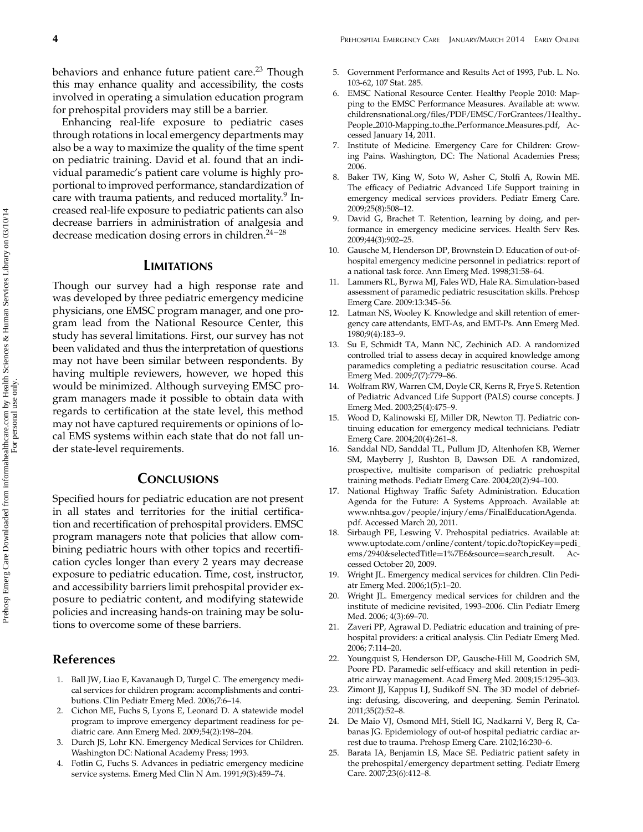behaviors and enhance future patient care.<sup>23</sup> Though this may enhance quality and accessibility, the costs involved in operating a simulation education program for prehospital providers may still be a barrier.

Enhancing real-life exposure to pediatric cases through rotations in local emergency departments may also be a way to maximize the quality of the time spent on pediatric training. David et al. found that an individual paramedic's patient care volume is highly proportional to improved performance, standardization of care with trauma patients, and reduced mortality.<sup>9</sup> Increased real-life exposure to pediatric patients can also decrease barriers in administration of analgesia and decrease medication dosing errors in children.24−<sup>28</sup>

#### **LIMITATIONS**

Though our survey had a high response rate and was developed by three pediatric emergency medicine physicians, one EMSC program manager, and one program lead from the National Resource Center, this study has several limitations. First, our survey has not been validated and thus the interpretation of questions may not have been similar between respondents. By having multiple reviewers, however, we hoped this would be minimized. Although surveying EMSC program managers made it possible to obtain data with regards to certification at the state level, this method may not have captured requirements or opinions of local EMS systems within each state that do not fall under state-level requirements.

# **CONCLUSIONS**

Specified hours for pediatric education are not present in all states and territories for the initial certification and recertification of prehospital providers. EMSC program managers note that policies that allow combining pediatric hours with other topics and recertification cycles longer than every 2 years may decrease exposure to pediatric education. Time, cost, instructor, and accessibility barriers limit prehospital provider exposure to pediatric content, and modifying statewide policies and increasing hands-on training may be solutions to overcome some of these barriers.

### **References**

- 1. Ball JW, Liao E, Kavanaugh D, Turgel C. The emergency medical services for children program: accomplishments and contributions. Clin Pediatr Emerg Med. 2006;7:6–14.
- 2. Cichon ME, Fuchs S, Lyons E, Leonard D. A statewide model program to improve emergency department readiness for pediatric care. Ann Emerg Med. 2009;54(2):198–204.
- Durch JS, Lohr KN. Emergency Medical Services for Children. Washington DC: National Academy Press; 1993.
- 4. Fotlin G, Fuchs S. Advances in pediatric emergency medicine service systems. Emerg Med Clin N Am. 1991;9(3):459–74.
- 5. Government Performance and Results Act of 1993, Pub. L. No. 103-62, 107 Stat. 285.
- 6. EMSC National Resource Center. Healthy People 2010: Mapping to the EMSC Performance Measures. Available at: www. childrensnational.org/files/PDF/EMSC/ForGrantees/Healthy People 2010-Mapping to the Performance Measures.pdf, Accessed January 14, 2011.
- 7. Institute of Medicine. Emergency Care for Children: Growing Pains. Washington, DC: The National Academies Press; 2006.
- Baker TW, King W, Soto W, Asher C, Stolfi A, Rowin ME. The efficacy of Pediatric Advanced Life Support training in emergency medical services providers. Pediatr Emerg Care. 2009;25(8):508–12.
- 9. David G, Brachet T. Retention, learning by doing, and performance in emergency medicine services. Health Serv Res. 2009;44(3):902–25.
- 10. Gausche M, Henderson DP, Brownstein D. Education of out-ofhospital emergency medicine personnel in pediatrics: report of a national task force. Ann Emerg Med. 1998;31:58–64.
- Lammers RL, Byrwa MJ, Fales WD, Hale RA. Simulation-based assessment of paramedic pediatric resuscitation skills. Prehosp Emerg Care. 2009:13:345–56.
- Latman NS, Wooley K. Knowledge and skill retention of emergency care attendants, EMT-As, and EMT-Ps. Ann Emerg Med. 1980;9(4):183–9.
- 13. Su E, Schmidt TA, Mann NC, Zechinich AD. A randomized controlled trial to assess decay in acquired knowledge among paramedics completing a pediatric resuscitation course. Acad Emerg Med. 2009;7(7):779–86.
- 14. Wolfram RW, Warren CM, Doyle CR, Kerns R, Frye S. Retention of Pediatric Advanced Life Support (PALS) course concepts. J Emerg Med. 2003;25(4):475–9.
- 15. Wood D, Kalinowski EJ, Miller DR, Newton TJ. Pediatric continuing education for emergency medical technicians. Pediatr Emerg Care. 2004;20(4):261–8.
- 16. Sanddal ND, Sanddal TL, Pullum JD, Altenhofen KB, Werner SM, Mayberry J, Rushton B, Dawson DE. A randomized, prospective, multisite comparison of pediatric prehospital training methods. Pediatr Emerg Care. 2004;20(2):94–100.
- 17. National Highway Traffic Safety Administration. Education Agenda for the Future: A Systems Approach. Available at: www.nhtsa.gov/people/injury/ems/FinalEducationAgenda. pdf. Accessed March 20, 2011.
- 18. Sirbaugh PE, Leswing V. Prehospital pediatrics. Available at: www.uptodate.com/online/content/topic.do?topicKey=pedi\_<br>ems/2940&selectedTitle=1%7E6&source=search\_result. Acems/2940&selectedTitle=1%7E6&source=search\_result. cessed October 20, 2009.
- 19. Wright JL. Emergency medical services for children. Clin Pediatr Emerg Med. 2006;1(5):1–20.
- Wright JL. Emergency medical services for children and the institute of medicine revisited, 1993–2006. Clin Pediatr Emerg Med. 2006; 4(3):69–70.
- 21. Zaveri PP, Agrawal D. Pediatric education and training of prehospital providers: a critical analysis. Clin Pediatr Emerg Med. 2006; 7:114–20.
- 22. Youngquist S, Henderson DP, Gausche-Hill M, Goodrich SM, Poore PD. Paramedic self-efficacy and skill retention in pediatric airway management. Acad Emerg Med. 2008;15:1295–303.
- 23. Zimont JJ, Kappus LJ, Sudikoff SN. The 3D model of debriefing: defusing, discovering, and deepening. Semin Perinatol. 2011;35(2):52–8.
- 24. De Maio VJ, Osmond MH, Stiell IG, Nadkarni V, Berg R, Cabanas JG. Epidemiology of out-of hospital pediatric cardiac arrest due to trauma. Prehosp Emerg Care. 2102;16:230–6.
- 25. Barata IA, Benjamin LS, Mace SE. Pediatric patient safety in the prehospital/emergency department setting. Pediatr Emerg Care. 2007;23(6):412–8.